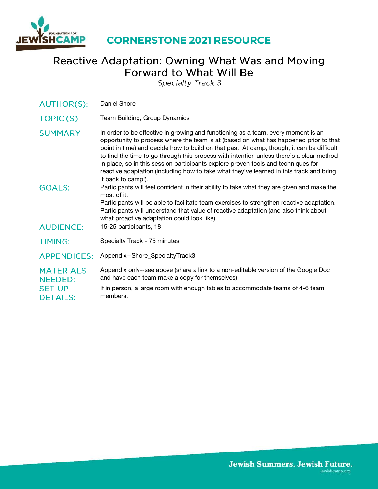

### **CORNERSTONE 2021 RESOURCE**

# Reactive Adaptation: Owning What Was and Moving Forward to What Will Be

Specialty Track 3

| <b>AUTHOR(S):</b>                  | Daniel Shore                                                                                                                                                                                                                                                                                                                                                                                                                                                                                                                                                              |
|------------------------------------|---------------------------------------------------------------------------------------------------------------------------------------------------------------------------------------------------------------------------------------------------------------------------------------------------------------------------------------------------------------------------------------------------------------------------------------------------------------------------------------------------------------------------------------------------------------------------|
| TOPIC(S)                           | Team Building, Group Dynamics                                                                                                                                                                                                                                                                                                                                                                                                                                                                                                                                             |
| <b>SUMMARY</b>                     | In order to be effective in growing and functioning as a team, every moment is an<br>opportunity to process where the team is at (based on what has happened prior to that<br>point in time) and decide how to build on that past. At camp, though, it can be difficult<br>to find the time to go through this process with intention unless there's a clear method<br>in place, so in this session participants explore proven tools and techniques for<br>reactive adaptation (including how to take what they've learned in this track and bring<br>it back to camp!). |
| <b>GOALS:</b>                      | Participants will feel confident in their ability to take what they are given and make the<br>most of it.<br>Participants will be able to facilitate team exercises to strengthen reactive adaptation.<br>Participants will understand that value of reactive adaptation (and also think about<br>what proactive adaptation could look like).                                                                                                                                                                                                                             |
| <b>AUDIENCE:</b>                   | 15-25 participants, 18+                                                                                                                                                                                                                                                                                                                                                                                                                                                                                                                                                   |
| <b>TIMING:</b>                     | Specialty Track - 75 minutes                                                                                                                                                                                                                                                                                                                                                                                                                                                                                                                                              |
| <b>APPENDICES:</b>                 | Appendix--Shore_SpecialtyTrack3                                                                                                                                                                                                                                                                                                                                                                                                                                                                                                                                           |
| <b>MATERIALS</b><br><b>NEEDED:</b> | Appendix only--see above (share a link to a non-editable version of the Google Doc<br>and have each team make a copy for themselves)                                                                                                                                                                                                                                                                                                                                                                                                                                      |
| <b>SET-UP</b><br><b>DETAILS:</b>   | If in person, a large room with enough tables to accommodate teams of 4-6 team<br>members.                                                                                                                                                                                                                                                                                                                                                                                                                                                                                |